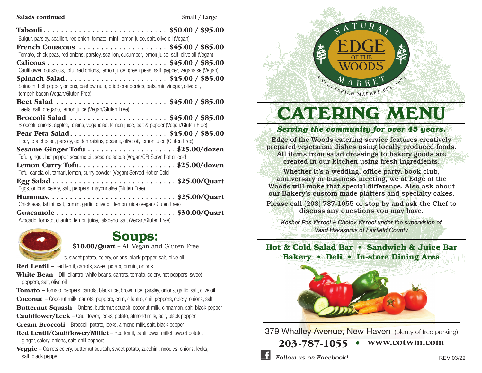#### Salads continued Small / Large

| Bulgur, parsley, scallion, red onion, tomato, mint, lemon juice, salt, olive oil (Vegan)                                                                         |
|------------------------------------------------------------------------------------------------------------------------------------------------------------------|
| French Couscous \$45.00 / \$85.00<br>Tomato, chick peas, red onions, parsley, scallion, cucumber, lemon juice, salt, olive oil (Vegan)                           |
| Cauliflower, couscous, tofu, red onions, lemon juice, green peas, salt, pepper, veganaise (Vegan)                                                                |
| Spinach Salad\$45.00 / \$85.00<br>Spinach, bell pepper, onions, cashew nuts, dried cranberries, balsamic vinegar, olive oil,<br>tempeh bacon (Vegan/Gluten Free) |
| Beet Salad \$45.00 / \$85.00<br>Beets, salt, oregano, lemon juice (Vegan/Gluten Free)                                                                            |
| Broccoli Salad \$45.00 / \$85.00<br>Broccoli, onions, apples, raisins, veganaise, lemon juice, salt & pepper (Vegan/Gluten Free)                                 |
| Pear Feta Salad\$45.00 / \$85.00<br>Pear, feta cheese, parsley, golden raisins, pecans, olive oil, lemon juice (Gluten Free)                                     |
| Sesame Ginger Tofu \$25.00/dozen<br>Tofu, ginger, hot pepper, sesame oil, sesame seeds (Vegan/GF) Serve hot or cold                                              |
| Tofu, canola oil, tamari, lemon, curry powder (Vegan) Served Hot or Cold                                                                                         |
| Eggs, onions, celery, salt, peppers, mayonnaise (Gluten Free)                                                                                                    |
| Chickpeas, tahini, salt, cumin, garlic, olive oil, lemon juice (Vegan/Gluten Free)                                                                               |
| Avocado, tomato, cilantro, lemon juice, jalapeno, salt (Vegan/Gluten Free)                                                                                       |



Soups:

\$10.00/Quart – All Vegan and Gluten Free

s, sweet potato, celery, onions, black pepper, salt, olive oil

Red Lentil – Red lentil, carrots, sweet potato, cumin, onions

White Bean – Dill, cilantro, white beans, carrots, tomato, celery, hot peppers, sweet peppers, salt, olive oil

**Tomato** – Tomato, peppers, carrots, black rice, brown rice, parsley, onions, garlic, salt, olive oil Coconut – Coconut milk, carrots, peppers, corn, cilantro, chili peppers, celery, onions, salt

Butternut Squash – Onions, butternut squash, coconut milk, cinnamon, salt, black pepper

Cauliflower/Leek – Cauliflower, leeks, potato, almond milk, salt, black pepper

Cream Broccoli – Broccoli, potato, leeks, almond milk, salt, black pepper

Red Lentil/Cauliflower/Millet – Red lentil, cauliflower, millet, sweet potato, ginger, celery, onions, salt, chili peppers

**Veggie** – Carrots celery, butternut squash, sweet potato, zucchini, noodles, onions, leeks, salt, black pepper



# **CATERING MENU**

#### *Serving the community for over 45 years.*

Edge of the Woods catering service features creatively prepared vegetarian dishes using locally produced foods. All items from salad dressings to bakery goods are created in our kitchen using fresh ingredients.

Whether it's a wedding, office party, book club, anniversary or business meeting, we at Edge of the Woods will make that special difference. Also ask about our Bakery's custom made platters and specialty cakes.

Please call (203) 787-1055 or stop by and ask the Chef to discuss any questions you may have.

*Kosher Pas Yisroel & Cholov Yisroel under the supervision of Vaad Hakashrus of Fairfield County*

### Hot & Cold Salad Bar • Sandwich & Juice Bar Bakery • Deli • In-store Dining Area



379 Whalley Avenue, New Haven (plenty of free parking)

203-787-1055 • **www.eotwm.com**

**Follow us on Facebook!** REV 03/22